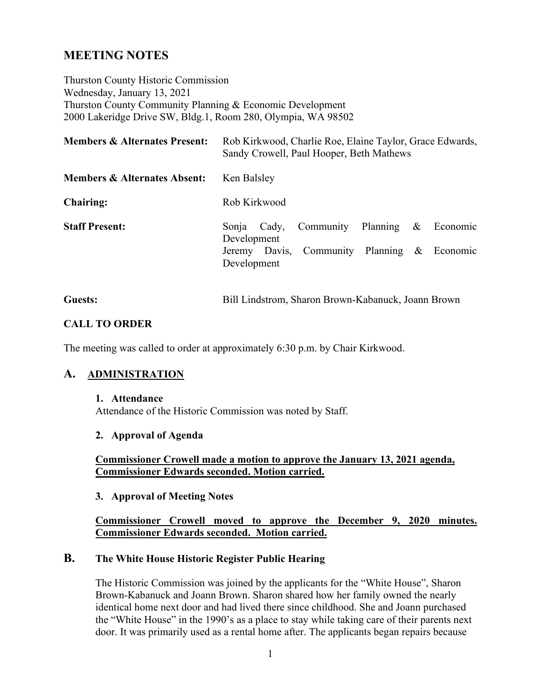## **MEETING NOTES**

Thurston County Historic Commission Wednesday, January 13, 2021 Thurston County Community Planning & Economic Development 2000 Lakeridge Drive SW, Bldg.1, Room 280, Olympia, WA 98502

| <b>Members &amp; Alternates Present:</b> | Rob Kirkwood, Charlie Roe, Elaine Taylor, Grace Edwards,<br>Sandy Crowell, Paul Hooper, Beth Mathews |  |  |
|------------------------------------------|------------------------------------------------------------------------------------------------------|--|--|
| <b>Members &amp; Alternates Absent:</b>  | Ken Balsley                                                                                          |  |  |
| <b>Chairing:</b>                         | Rob Kirkwood                                                                                         |  |  |
| <b>Staff Present:</b>                    | Community Planning<br>$\&$<br>Economic<br>Sonja<br>Cady,<br>Development                              |  |  |
|                                          | Jeremy Davis, Community Planning & Economic<br>Development                                           |  |  |

| <b>Guests:</b> |  | Bill Lindstrom, Sharon Brown-Kabanuck, Joann Brown |
|----------------|--|----------------------------------------------------|
|----------------|--|----------------------------------------------------|

#### **CALL TO ORDER**

The meeting was called to order at approximately 6:30 p.m. by Chair Kirkwood.

## **A. ADMINISTRATION**

#### **1. Attendance**

Attendance of the Historic Commission was noted by Staff.

#### **2. Approval of Agenda**

**Commissioner Crowell made a motion to approve the January 13, 2021 agenda, Commissioner Edwards seconded. Motion carried.** 

#### **3. Approval of Meeting Notes**

#### **Commissioner Crowell moved to approve the December 9, 2020 minutes. Commissioner Edwards seconded. Motion carried.**

#### **B. The White House Historic Register Public Hearing**

The Historic Commission was joined by the applicants for the "White House", Sharon Brown-Kabanuck and Joann Brown. Sharon shared how her family owned the nearly identical home next door and had lived there since childhood. She and Joann purchased the "White House" in the 1990's as a place to stay while taking care of their parents next door. It was primarily used as a rental home after. The applicants began repairs because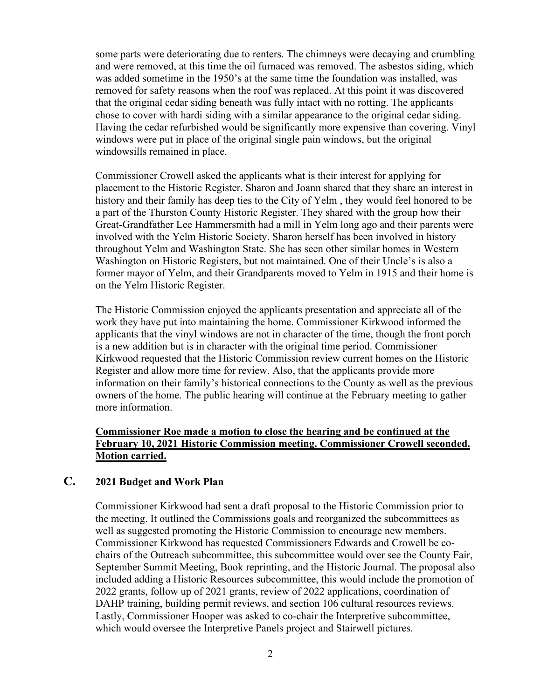some parts were deteriorating due to renters. The chimneys were decaying and crumbling and were removed, at this time the oil furnaced was removed. The asbestos siding, which was added sometime in the 1950's at the same time the foundation was installed, was removed for safety reasons when the roof was replaced. At this point it was discovered that the original cedar siding beneath was fully intact with no rotting. The applicants chose to cover with hardi siding with a similar appearance to the original cedar siding. Having the cedar refurbished would be significantly more expensive than covering. Vinyl windows were put in place of the original single pain windows, but the original windowsills remained in place.

Commissioner Crowell asked the applicants what is their interest for applying for placement to the Historic Register. Sharon and Joann shared that they share an interest in history and their family has deep ties to the City of Yelm , they would feel honored to be a part of the Thurston County Historic Register. They shared with the group how their Great-Grandfather Lee Hammersmith had a mill in Yelm long ago and their parents were involved with the Yelm Historic Society. Sharon herself has been involved in history throughout Yelm and Washington State. She has seen other similar homes in Western Washington on Historic Registers, but not maintained. One of their Uncle's is also a former mayor of Yelm, and their Grandparents moved to Yelm in 1915 and their home is on the Yelm Historic Register.

The Historic Commission enjoyed the applicants presentation and appreciate all of the work they have put into maintaining the home. Commissioner Kirkwood informed the applicants that the vinyl windows are not in character of the time, though the front porch is a new addition but is in character with the original time period. Commissioner Kirkwood requested that the Historic Commission review current homes on the Historic Register and allow more time for review. Also, that the applicants provide more information on their family's historical connections to the County as well as the previous owners of the home. The public hearing will continue at the February meeting to gather more information.

## **Commissioner Roe made a motion to close the hearing and be continued at the February 10, 2021 Historic Commission meeting. Commissioner Crowell seconded. Motion carried.**

#### **C. 2021 Budget and Work Plan**

Commissioner Kirkwood had sent a draft proposal to the Historic Commission prior to the meeting. It outlined the Commissions goals and reorganized the subcommittees as well as suggested promoting the Historic Commission to encourage new members. Commissioner Kirkwood has requested Commissioners Edwards and Crowell be cochairs of the Outreach subcommittee, this subcommittee would over see the County Fair, September Summit Meeting, Book reprinting, and the Historic Journal. The proposal also included adding a Historic Resources subcommittee, this would include the promotion of 2022 grants, follow up of 2021 grants, review of 2022 applications, coordination of DAHP training, building permit reviews, and section 106 cultural resources reviews. Lastly, Commissioner Hooper was asked to co-chair the Interpretive subcommittee, which would oversee the Interpretive Panels project and Stairwell pictures.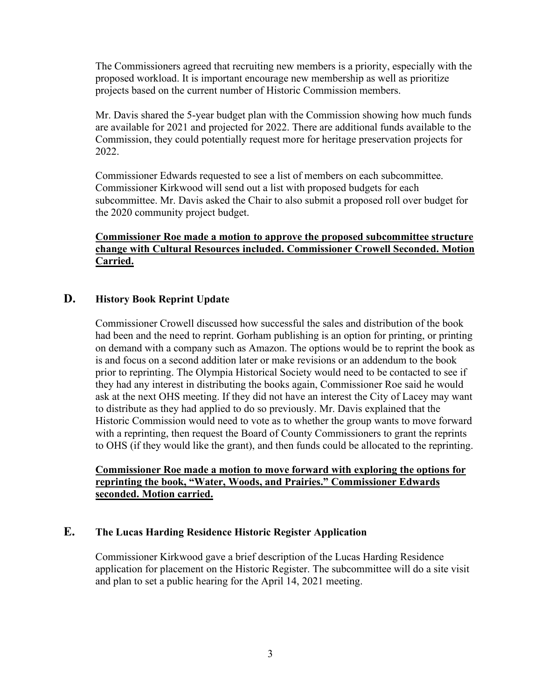The Commissioners agreed that recruiting new members is a priority, especially with the proposed workload. It is important encourage new membership as well as prioritize projects based on the current number of Historic Commission members.

Mr. Davis shared the 5-year budget plan with the Commission showing how much funds are available for 2021 and projected for 2022. There are additional funds available to the Commission, they could potentially request more for heritage preservation projects for 2022.

Commissioner Edwards requested to see a list of members on each subcommittee. Commissioner Kirkwood will send out a list with proposed budgets for each subcommittee. Mr. Davis asked the Chair to also submit a proposed roll over budget for the 2020 community project budget.

## **Commissioner Roe made a motion to approve the proposed subcommittee structure change with Cultural Resources included. Commissioner Crowell Seconded. Motion Carried.**

#### **D. History Book Reprint Update**

Commissioner Crowell discussed how successful the sales and distribution of the book had been and the need to reprint. Gorham publishing is an option for printing, or printing on demand with a company such as Amazon. The options would be to reprint the book as is and focus on a second addition later or make revisions or an addendum to the book prior to reprinting. The Olympia Historical Society would need to be contacted to see if they had any interest in distributing the books again, Commissioner Roe said he would ask at the next OHS meeting. If they did not have an interest the City of Lacey may want to distribute as they had applied to do so previously. Mr. Davis explained that the Historic Commission would need to vote as to whether the group wants to move forward with a reprinting, then request the Board of County Commissioners to grant the reprints to OHS (if they would like the grant), and then funds could be allocated to the reprinting.

## **Commissioner Roe made a motion to move forward with exploring the options for reprinting the book, "Water, Woods, and Prairies." Commissioner Edwards seconded. Motion carried.**

## **E. The Lucas Harding Residence Historic Register Application**

Commissioner Kirkwood gave a brief description of the Lucas Harding Residence application for placement on the Historic Register. The subcommittee will do a site visit and plan to set a public hearing for the April 14, 2021 meeting.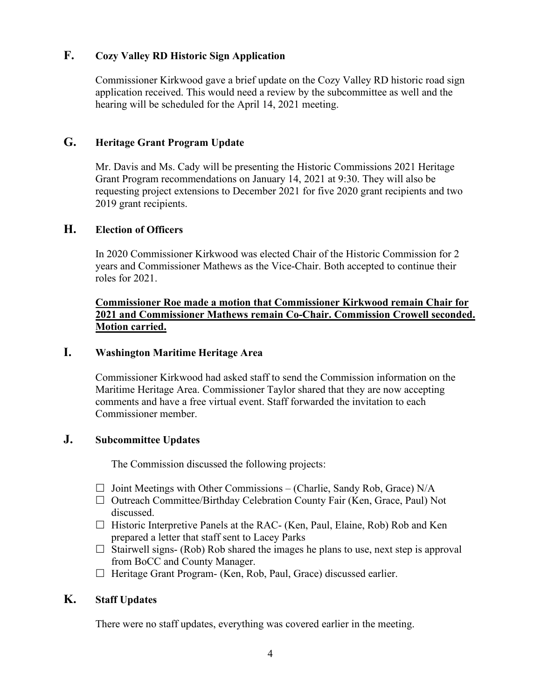## **F. Cozy Valley RD Historic Sign Application**

Commissioner Kirkwood gave a brief update on the Cozy Valley RD historic road sign application received. This would need a review by the subcommittee as well and the hearing will be scheduled for the April 14, 2021 meeting.

## **G. Heritage Grant Program Update**

Mr. Davis and Ms. Cady will be presenting the Historic Commissions 2021 Heritage Grant Program recommendations on January 14, 2021 at 9:30. They will also be requesting project extensions to December 2021 for five 2020 grant recipients and two 2019 grant recipients.

### **H. Election of Officers**

In 2020 Commissioner Kirkwood was elected Chair of the Historic Commission for 2 years and Commissioner Mathews as the Vice-Chair. Both accepted to continue their roles for 2021.

## **Commissioner Roe made a motion that Commissioner Kirkwood remain Chair for 2021 and Commissioner Mathews remain Co-Chair. Commission Crowell seconded. Motion carried.**

#### **I. Washington Maritime Heritage Area**

Commissioner Kirkwood had asked staff to send the Commission information on the Maritime Heritage Area. Commissioner Taylor shared that they are now accepting comments and have a free virtual event. Staff forwarded the invitation to each Commissioner member.

## **J. Subcommittee Updates**

The Commission discussed the following projects:

- $\Box$  Joint Meetings with Other Commissions (Charlie, Sandy Rob, Grace) N/A
- $\Box$  Outreach Committee/Birthday Celebration County Fair (Ken, Grace, Paul) Not discussed.
- $\Box$  Historic Interpretive Panels at the RAC- (Ken, Paul, Elaine, Rob) Rob and Ken prepared a letter that staff sent to Lacey Parks
- $\Box$  Stairwell signs- (Rob) Rob shared the images he plans to use, next step is approval from BoCC and County Manager.
- $\Box$  Heritage Grant Program- (Ken, Rob, Paul, Grace) discussed earlier.

## **K. Staff Updates**

There were no staff updates, everything was covered earlier in the meeting.